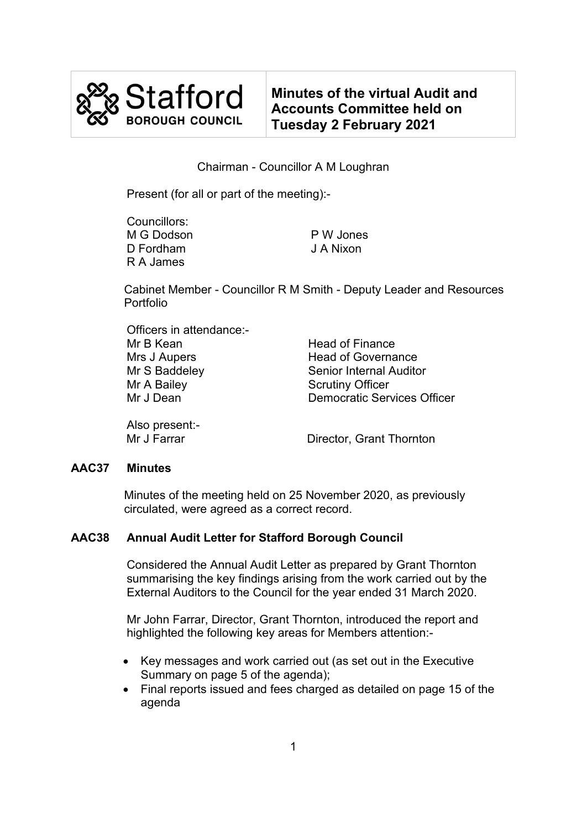

**Minutes of the virtual Audit and Accounts Committee held on Tuesday 2 February 2021**

# Chairman - Councillor A M Loughran

Present (for all or part of the meeting):-

| Councillors: |           |
|--------------|-----------|
| M G Dodson   | P W Jones |
| D Fordham    | J A Nixon |
| R A James    |           |

Cabinet Member - Councillor R M Smith - Deputy Leader and Resources Portfolio

| Officers in attendance:-<br>Mr B Kean | <b>Head of Finance</b>             |
|---------------------------------------|------------------------------------|
| Mrs J Aupers                          | <b>Head of Governance</b>          |
| Mr S Baddeley                         | <b>Senior Internal Auditor</b>     |
| Mr A Bailey                           | <b>Scrutiny Officer</b>            |
| Mr J Dean                             | <b>Democratic Services Officer</b> |
| $\mathbf{A}$                          |                                    |

Also present:-

Director, Grant Thornton

#### **AAC37 Minutes**

Minutes of the meeting held on 25 November 2020, as previously circulated, were agreed as a correct record.

# **AAC38 Annual Audit Letter for Stafford Borough Council**

Considered the Annual Audit Letter as prepared by Grant Thornton summarising the key findings arising from the work carried out by the External Auditors to the Council for the year ended 31 March 2020.

 Mr John Farrar, Director, Grant Thornton, introduced the report and highlighted the following key areas for Members attention:-

- Key messages and work carried out (as set out in the Executive Summary on page 5 of the agenda);
- Final reports issued and fees charged as detailed on page 15 of the agenda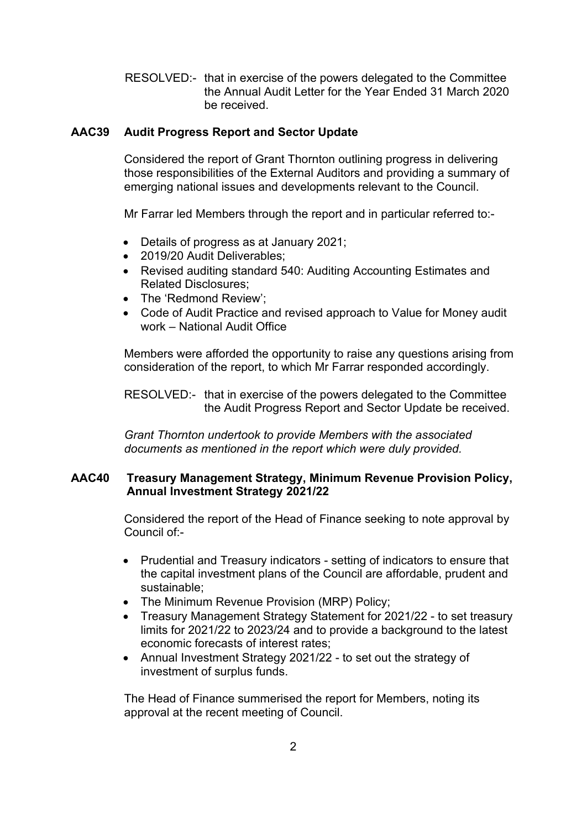RESOLVED:- that in exercise of the powers delegated to the Committee the Annual Audit Letter for the Year Ended 31 March 2020 be received.

## **AAC39 Audit Progress Report and Sector Update**

Considered the report of Grant Thornton outlining progress in delivering those responsibilities of the External Auditors and providing a summary of emerging national issues and developments relevant to the Council.

Mr Farrar led Members through the report and in particular referred to:-

- Details of progress as at January 2021;
- 2019/20 Audit Deliverables:
- Revised auditing standard 540: Auditing Accounting Estimates and Related Disclosures;
- The 'Redmond Review':
- Code of Audit Practice and revised approach to Value for Money audit work – National Audit Office

Members were afforded the opportunity to raise any questions arising from consideration of the report, to which Mr Farrar responded accordingly.

 RESOLVED:- that in exercise of the powers delegated to the Committee the Audit Progress Report and Sector Update be received.

*Grant Thornton undertook to provide Members with the associated documents as mentioned in the report which were duly provided.*

## **AAC40 Treasury Management Strategy, Minimum Revenue Provision Policy, Annual Investment Strategy 2021/22**

Considered the report of the Head of Finance seeking to note approval by Council of:-

- Prudential and Treasury indicators setting of indicators to ensure that the capital investment plans of the Council are affordable, prudent and sustainable;
- The Minimum Revenue Provision (MRP) Policy;
- Treasury Management Strategy Statement for 2021/22 to set treasury limits for 2021/22 to 2023/24 and to provide a background to the latest economic forecasts of interest rates;
- Annual Investment Strategy 2021/22 to set out the strategy of investment of surplus funds.

The Head of Finance summerised the report for Members, noting its approval at the recent meeting of Council.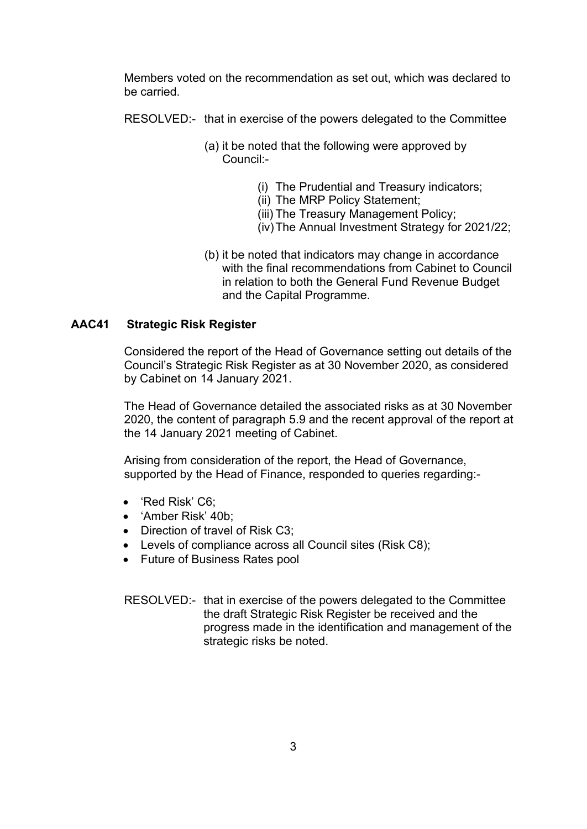Members voted on the recommendation as set out, which was declared to be carried.

RESOLVED:- that in exercise of the powers delegated to the Committee

- (a) it be noted that the following were approved by Council:-
	- (i) The Prudential and Treasury indicators;
	- (ii) The MRP Policy Statement;
	- (iii) The Treasury Management Policy;
	- (iv)The Annual Investment Strategy for 2021/22;
- (b) it be noted that indicators may change in accordance with the final recommendations from Cabinet to Council in relation to both the General Fund Revenue Budget and the Capital Programme.

## **AAC41 Strategic Risk Register**

Considered the report of the Head of Governance setting out details of the Council's Strategic Risk Register as at 30 November 2020, as considered by Cabinet on 14 January 2021.

The Head of Governance detailed the associated risks as at 30 November 2020, the content of paragraph 5.9 and the recent approval of the report at the 14 January 2021 meeting of Cabinet.

Arising from consideration of the report, the Head of Governance, supported by the Head of Finance, responded to queries regarding:-

- 'Red Risk' C6;
- 'Amber Risk' 40b;
- Direction of travel of Risk C3;
- Levels of compliance across all Council sites (Risk C8);
- Future of Business Rates pool

RESOLVED:- that in exercise of the powers delegated to the Committee the draft Strategic Risk Register be received and the progress made in the identification and management of the strategic risks be noted.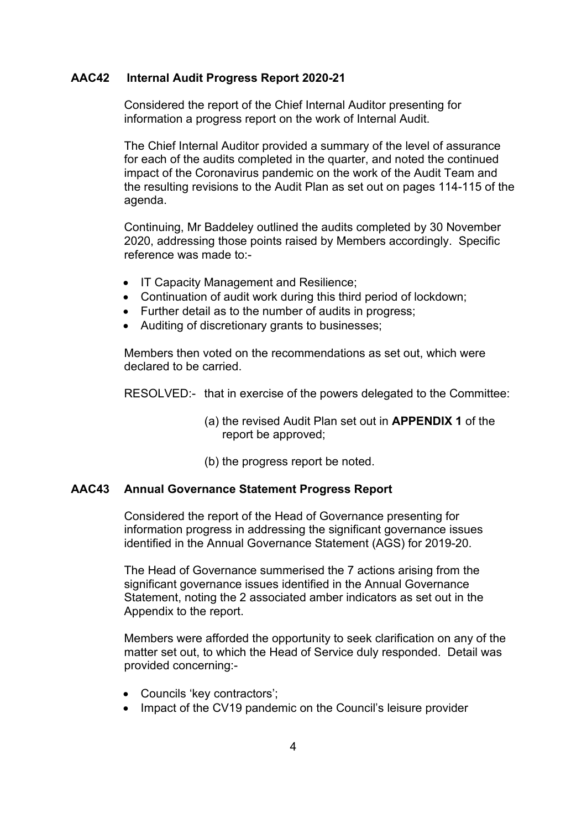#### **AAC42 Internal Audit Progress Report 2020-21**

Considered the report of the Chief Internal Auditor presenting for information a progress report on the work of Internal Audit.

The Chief Internal Auditor provided a summary of the level of assurance for each of the audits completed in the quarter, and noted the continued impact of the Coronavirus pandemic on the work of the Audit Team and the resulting revisions to the Audit Plan as set out on pages 114-115 of the agenda.

Continuing, Mr Baddeley outlined the audits completed by 30 November 2020, addressing those points raised by Members accordingly. Specific reference was made to:-

- IT Capacity Management and Resilience;
- Continuation of audit work during this third period of lockdown;
- Further detail as to the number of audits in progress;
- Auditing of discretionary grants to businesses;

 Members then voted on the recommendations as set out, which were declared to be carried.

RESOLVED:- that in exercise of the powers delegated to the Committee:

- (a) the revised Audit Plan set out in **APPENDIX 1** of the report be approved;
- (b) the progress report be noted.

#### **AAC43 Annual Governance Statement Progress Report**

Considered the report of the Head of Governance presenting for information progress in addressing the significant governance issues identified in the Annual Governance Statement (AGS) for 2019-20.

The Head of Governance summerised the 7 actions arising from the significant governance issues identified in the Annual Governance Statement, noting the 2 associated amber indicators as set out in the Appendix to the report.

Members were afforded the opportunity to seek clarification on any of the matter set out, to which the Head of Service duly responded. Detail was provided concerning:-

- Councils 'key contractors';
- Impact of the CV19 pandemic on the Council's leisure provider